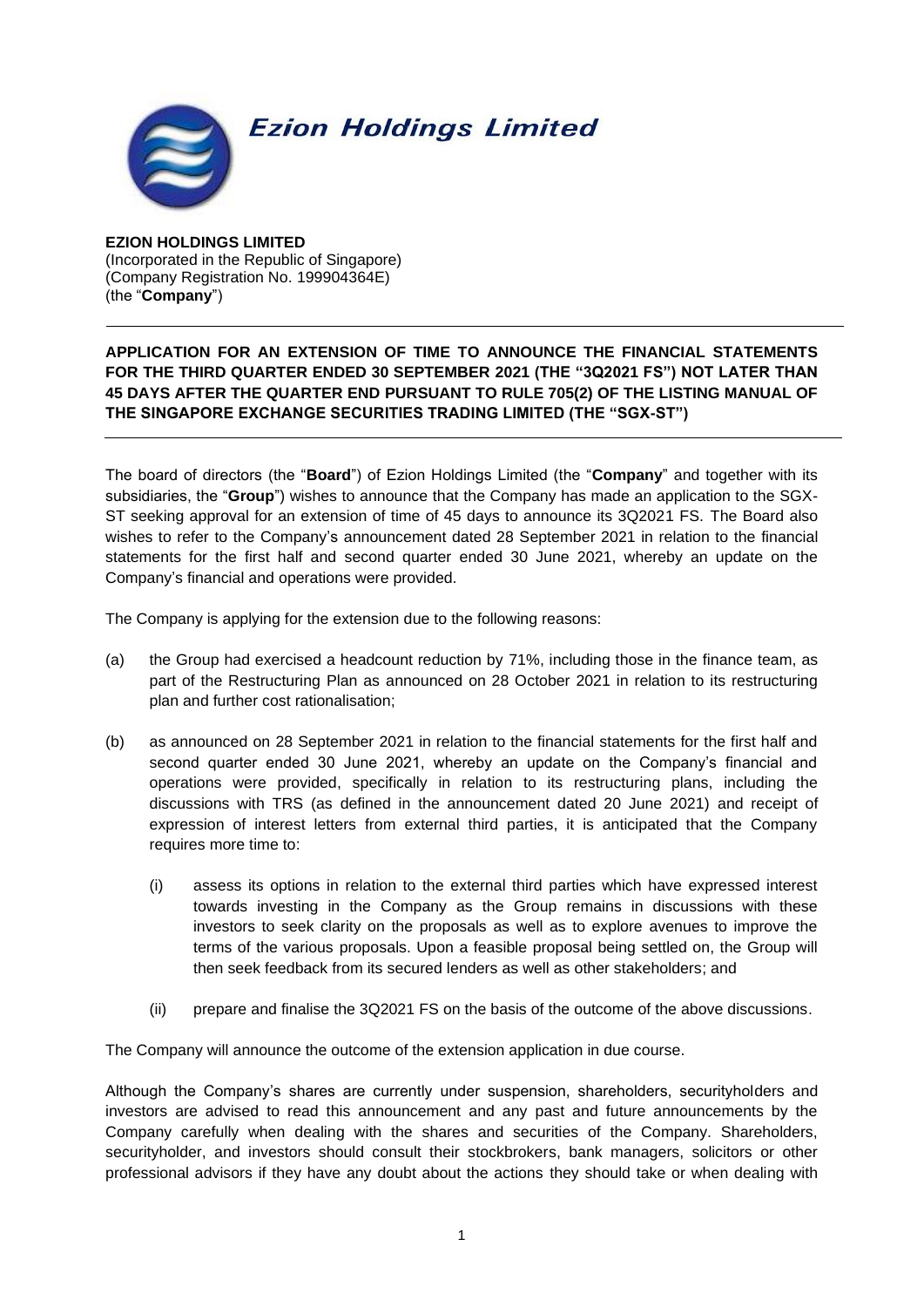

## **Ezion Holdings Limited**

**EZION HOLDINGS LIMITED** (Incorporated in the Republic of Singapore) (Company Registration No. 199904364E) (the "**Company**")

## **APPLICATION FOR AN EXTENSION OF TIME TO ANNOUNCE THE FINANCIAL STATEMENTS FOR THE THIRD QUARTER ENDED 30 SEPTEMBER 2021 (THE "3Q2021 FS") NOT LATER THAN 45 DAYS AFTER THE QUARTER END PURSUANT TO RULE 705(2) OF THE LISTING MANUAL OF THE SINGAPORE EXCHANGE SECURITIES TRADING LIMITED (THE "SGX-ST")**

The board of directors (the "**Board**") of Ezion Holdings Limited (the "**Company**" and together with its subsidiaries, the "**Group**") wishes to announce that the Company has made an application to the SGX-ST seeking approval for an extension of time of 45 days to announce its 3Q2021 FS. The Board also wishes to refer to the Company's announcement dated 28 September 2021 in relation to the financial statements for the first half and second quarter ended 30 June 2021, whereby an update on the Company's financial and operations were provided.

The Company is applying for the extension due to the following reasons:

- (a) the Group had exercised a headcount reduction by 71%, including those in the finance team, as part of the Restructuring Plan as announced on 28 October 2021 in relation to its restructuring plan and further cost rationalisation;
- (b) as announced on 28 September 2021 in relation to the financial statements for the first half and second quarter ended 30 June 2021, whereby an update on the Company's financial and operations were provided, specifically in relation to its restructuring plans, including the discussions with TRS (as defined in the announcement dated 20 June 2021) and receipt of expression of interest letters from external third parties, it is anticipated that the Company requires more time to:
	- (i) assess its options in relation to the external third parties which have expressed interest towards investing in the Company as the Group remains in discussions with these investors to seek clarity on the proposals as well as to explore avenues to improve the terms of the various proposals. Upon a feasible proposal being settled on, the Group will then seek feedback from its secured lenders as well as other stakeholders; and
	- (ii) prepare and finalise the 3Q2021 FS on the basis of the outcome of the above discussions.

The Company will announce the outcome of the extension application in due course.

Although the Company's shares are currently under suspension, shareholders, securityholders and investors are advised to read this announcement and any past and future announcements by the Company carefully when dealing with the shares and securities of the Company. Shareholders, securityholder, and investors should consult their stockbrokers, bank managers, solicitors or other professional advisors if they have any doubt about the actions they should take or when dealing with